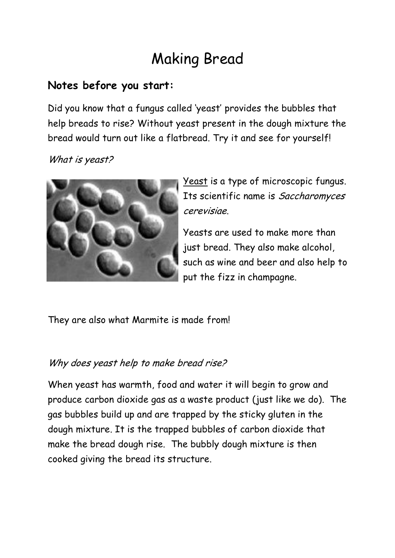# Making Bread

#### **Notes before you start:**

Did you know that a fungus called 'yeast' provides the bubbles that help breads to rise? Without yeast present in the dough mixture the bread would turn out like a flatbread. Try it and see for yourself!

#### What is yeast?



Yeast is a type of microscopic fungus. Its scientific name is Saccharomyces cerevisiae.

Yeasts are used to make more than just bread. They also make alcohol, such as wine and beer and also help to put the fizz in champagne.

They are also what Marmite is made from!

#### Why does yeast help to make bread rise?

When yeast has warmth, food and water it will begin to grow and produce carbon dioxide gas as a waste product (just like we do). The gas bubbles build up and are trapped by the sticky gluten in the dough mixture. It is the trapped bubbles of carbon dioxide that make the bread dough rise. The bubbly dough mixture is then cooked giving the bread its structure.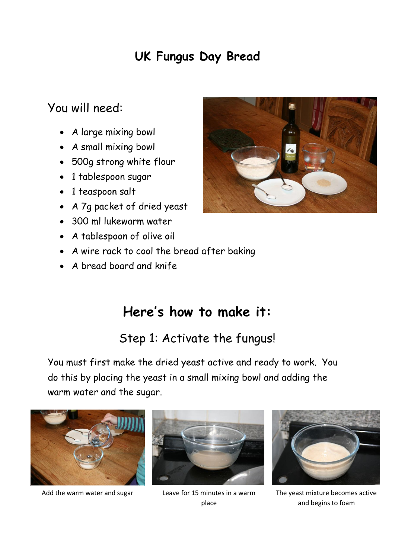# **UK Fungus Day Bread**

#### You will need:

- A large mixing bowl
- A small mixing bowl
- 500g strong white flour
- 1 tablespoon sugar
- 1 teaspoon salt
- A 7g packet of dried yeast
- 300 ml lukewarm water
- A tablespoon of olive oil
- A wire rack to cool the bread after baking
- A bread board and knife.

# **Here's how to make it:**

### Step 1: Activate the fungus!

You must first make the dried yeast active and ready to work. You do this by placing the yeast in a small mixing bowl and adding the warm water and the sugar.



Add the warm water and sugar Leave for 15 minutes in a warm



place



The yeast mixture becomes active and begins to foam

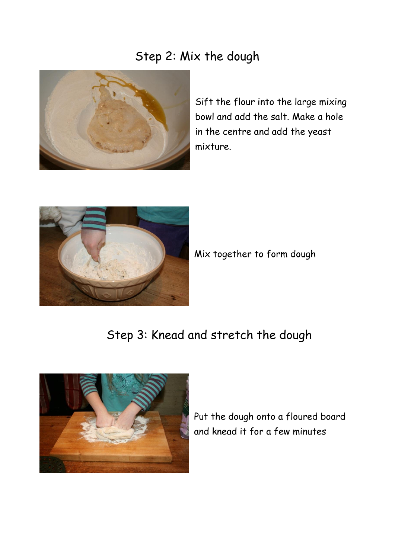### Step 2: Mix the dough



Sift the flour into the large mixing bowl and add the salt. Make a hole in the centre and add the yeast mixture.



Mix together to form dough

## Step 3: Knead and stretch the dough



Put the dough onto a floured board and knead it for a few minutes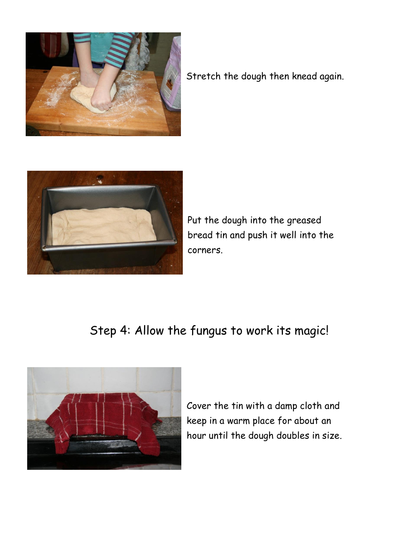

Stretch the dough then knead again.



Put the dough into the greased bread tin and push it well into the corners.

# Step 4: Allow the fungus to work its magic!



Cover the tin with a damp cloth and keep in a warm place for about an hour until the dough doubles in size.